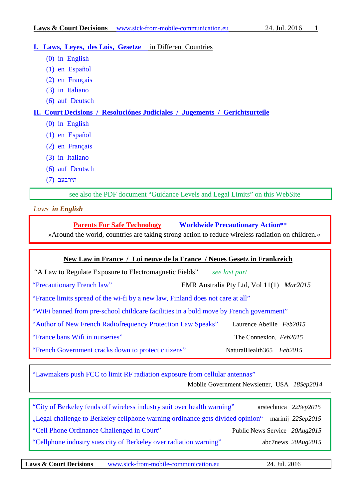#### **I. Laws, Leyes, des Lois, Gesetze** in Different Countries

- [\(0\) in English](#page-0-0)
- [\(1\) en Español](#page-1-0)
- [\(2\) en Français](#page-1-1)
- [\(3\) in Italiano](#page-2-0)
- [\(6\) auf Deutsch](#page-2-1)

## **[II. Court Decisions / Resoluciónes Judiciales / Jugements / Gerichtsurteile](#page-3-0)**

- [\(0\) in English](#page-3-1)
- [\(1\) en Español](#page-4-0)
- [\(2\) en Français](#page-5-0)
- [\(3\) in Italiano](#page-5-0)
- (6) auf Deutsch
- תירבעב (7)

see also the PDF document "Guidance Levels and Legal Limits" on this WebSite

<span id="page-0-0"></span>*Laws in English*

## **[Parents For Safe Technology](http://www.parentsforsafetechnology.org/) [Worldwide Precautionary Action\\*\\*](http://www.parentsforsafetechnology.org/worldwide-countries-taking-action.html)**

»Around the world, countries are taking strong action to reduce wireless radiation on children.«

## **New Law in France / Loi neuve de [la](https://dict.leo.org/frde/index_fr.html#/search=la&searchLoc=0&resultOrder=basic&multiwordShowSingle=on) [France](https://dict.leo.org/frde/index_fr.html#/search=France&searchLoc=0&resultOrder=basic&multiwordShowSingle=on) / Neues Gesetz in Frankreich**

["A Law to Regulate Exposure to Electromagnetic Fields"](http://www.lemonde.fr/planete/article/2015/01/29/une-loi-pour-encadrer-l-exposition-aux-ondes_4565339_3244.html#meter_toaster)*see last part*

["Precautionary French law"](http://emraustralia.com.au/_literature_139177/2015_EMR_and_Health_-_March_Edition)EMR Australia Pty Ltd, Vol 11(1) *Mar2015* 

["France limits spread of the wi-fi by a new law, Finland does not care at all"](https://betweenrockandhardplace.wordpress.com/2015/02/02/france-limits-spread-of-the-wi-fi-by-a-new-law-finland-does-not-care-at-all/)

["WiFi banned from pre-school childcare facilities in a bold move by French government"](http://www.naturalnews.com/043695_electrosensitivity_wifi_French_government.html#ixzz3R6AlsZ2R)

["Author of New French Radiofrequency Protection Law Speaks"](http://www.andrewgeller.me/blog/2015/02/08/author-of-new-french-rf-radiation-law/) Laurence Abeille *Feb2015*

["France bans Wifi in nurseries"](http://www.connexionfrance.com/france-wifi-schools-ban-children-six-nurseries-daycare-kindergartens-homes-electromagnetic-waves-16637-view-article.html) The Connexion, *Feb2015*

["French Government cracks down to protect citizens"](http://www.naturalhealth365.com/cell-phone-radiation-french-government-electromagnetic-fields-1307.html) NaturalHealth365 *Feb2015* 

["Lawmakers push FCC to limit RF radiation exposure from cellular antennas"](http://www.fiercemobilegovernment.com/story/lawmakers-push-fcc-limit-rf-radiation-exposure-cellular-antennas/2015-09-18) 

Mobile Government Newsletter, USA *18Sep2014*

["City of Berkeley fends off wireless industry suit over health warning"](http://arstechnica.com/tech-policy/2015/09/city-of-berkeley-fends-off-wireless-industry-suit-over-health-warning/) arstechnica *22Sep2015* ["Legal challenge to Berkeley cellphone warning ordinance gets divided opinion"](http://www.marinij.com/general-news/20150922/legal-challenge-to-berkeley-cellphone-warning-ordinance-gets-divided-opinion/1) marinij *22Sep2015* ["Cell Phone Ordinance Challenged in Court"](http://www.publicnewsservice.org/2015-08-20/energy-policy/cell-phone-ordinance-challenged-in-court/a47763-1) Public News Service *20Aug2015* ["Cellphone industry sues city of Berkeley over radiation warning"](http://abc7news.com/politics/cellphone-industry-sues-city-of-berkeley-over-radiation-warning/950227/) abc7news *20Aug2015*

**Laws & Court Decisions** [www.sick-from-mobile-communication.eu](http://www.sick-from-mobile-communication.eu/) 24. Jul. 2016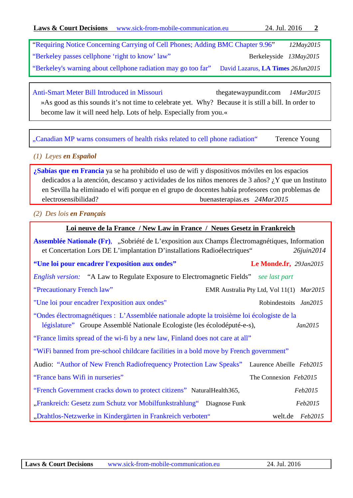["Requiring Notice Concerning Carrying of Cell Phones; Adding BMC Chapter 9.96"](http://www.ci.berkeley.ca.us/Clerk/City_Council/2015/05_May/Documents/2015-05-12_Item_29_Requiring_Notice.aspx) *12May2015* ["Berkeley passes cellphone 'right to know' law"](http://www.berkeleyside.com/2015/05/13/berkeley-passes-cellphone-right-to-know-law/) Berkeleyside *13May2015* ["Berkeley's warning about cellphone radiation may go too far" David Lazarus,](http://www.latimes.com/business/la-fi-lazarus-20150626-column.html) **LA Times** *26Jun2015*

[Anti-Smart Meter Bill Introduced in Missouri](http://www.thegatewaypundit.com/2015/03/anti-smart-meter-bill-introduced-in-missouri/)thegatewaypundit.com *14Mar2015* »As good as this sounds it's not time to celebrate yet. Why? Because it is still a bill. In order to become law it will need help. Lots of help. Especially from you.«

["Canadian MP warns consumers of health risks related to cell phone radiation"](http://www.rfsafe.com/canadian-mp-warns-consumers-of-health-risks-related-to-cell-phone-radiation/)Terence Young

# <span id="page-1-0"></span>*(1) Leyes en Español*

**[¿Sabías que en Francia](http://www.buenasterapias.es/archives/10165)** ya se ha prohibido el uso de wifi y dispositivos móviles en los espacios dedicados a la atención, descanso y actividades de los niños menores de 3 años? ¿Y que un Instituto en Sevilla ha eliminado el wifi porque en el grupo de docentes había profesores con problemas de electrosensibilidad? buenasterapias.es *24Mar2015*

<span id="page-1-1"></span>*(2) Des lois en Français*

#### **Loi neuve de [la](https://dict.leo.org/frde/index_fr.html#/search=la&searchLoc=0&resultOrder=basic&multiwordShowSingle=on) [France](https://dict.leo.org/frde/index_fr.html#/search=France&searchLoc=0&resultOrder=basic&multiwordShowSingle=on) / New Law in France / Neues Gesetz in Frankreich**

**[Assemblée Nationale \(Fr\)](http://www.assemblee-nationale.fr/14/propositions/pion2065.asp),** "Sobriété de L'exposition aux Champs Électromagnétiques, Information et Concertation Lors DE L'implantation D'installations Radioélectriques" *26juin2014*  **["Une loi pour encadrer l'exposition aux ondes"](http://www.lemonde.fr/planete/article/2015/01/29/une-loi-pour-encadrer-l-exposition-aux-ondes_4565339_3244.html) Le Monde.fr,** *29Jan2015 [English version:](https://betweenrockandhardplace.wordpress.com/2015/02/02/france-limits-spread-of-the-wi-fi-by-a-new-law-finland-does-not-care-at-all/)* ["A Law to Regulate Exposure to Electromagnetic Fields"](http://www.lemonde.fr/planete/article/2015/01/29/une-loi-pour-encadrer-l-exposition-aux-ondes_4565339_3244.html#meter_toaster)*see last part* ["Precautionary French law"](http://emraustralia.com.au/_literature_139177/2015_EMR_and_Health_-_March_Edition)EMR Australia Pty Ltd, Vol 11(1) *Mar2015* ["Une loi pour encadrer l'exposition aux ondes"](http://www.robindestoits.org/Une-loi-pour-encadrer-l-exposition-aux-ondes-Le-Monde-29-01-2015_a2274.html) Robindestoits *Jan2015*  "Ondes électromagnétiques [: L'Assemblée nationale adopte la troisième loi écologiste de la](http://www.ecolodepute-e-s.fr/2015/01/29/ondes-%C3%A9lectromagn%C3%A9tiques-l-assembl%C3%A9e-nationale-adopte-la-troisi%C3%A8me-loi-%C3%A9cologiste-de-la-l%C3%A9gislature/)  [législature" G](http://www.ecolodepute-e-s.fr/2015/01/29/ondes-%C3%A9lectromagn%C3%A9tiques-l-assembl%C3%A9e-nationale-adopte-la-troisi%C3%A8me-loi-%C3%A9cologiste-de-la-l%C3%A9gislature/)roupe Assemblé Nationale Ecologiste [\(les écolodéputé-e-s\)](http://www.ecolodepute-e-s.fr/les-%C3%A9colod%C3%A9put%C3%A9-e-s/), *Jan2015*  ["France limits spread of the wi-fi by a new law, Finland does not care at all"](https://betweenrockandhardplace.wordpress.com/2015/02/02/france-limits-spread-of-the-wi-fi-by-a-new-law-finland-does-not-care-at-all/) ["WiFi banned from pre-school childcare facilities in a bold move by French government"](http://www.naturalnews.com/043695_electrosensitivity_wifi_French_government.html#ixzz3R6AlsZ2R) Audio: ["Author of New French Radiofrequency Protection Law Speaks"](http://www.andrewgeller.me/blog/2015/02/08/author-of-new-french-rf-radiation-law/) Laurence Abeille *Feb2015* ["France bans Wifi in nurseries"](http://www.connexionfrance.com/france-wifi-schools-ban-children-six-nurseries-daycare-kindergartens-homes-electromagnetic-waves-16637-view-article.html) The Connexion *Feb2015*  ["French Government cracks down to protect citizens"](http://www.naturalhealth365.com/cell-phone-radiation-french-government-electromagnetic-fields-1307.html) NaturalHealth365, *Feb2015*  ["Frankreich: Gesetz zum Schutz vor Mobilfunkstrahlung"](http://www.diagnose-funk.org/themen/mobilfunkversorgung/franz-gesetz-zum-schutz-vor-mobilfunkstrahlung.php)Diagnose Funk *Feb2015* ["Drahtlos-Netzwerke in Kindergärten in Frankreich verboten"](http://www.welt.de/newsticker/news2/article136912017/Drahtlos-Netzwerke-in-Kindergaerten-in-Frankreich-verboten.html) welt.de *Feb2015*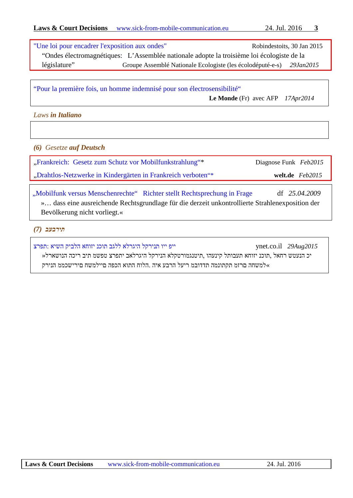|              | "Une loi pour encadrer l'exposition aux ondes"                                            | Robindestoits, 30 Jan 2015 |
|--------------|-------------------------------------------------------------------------------------------|----------------------------|
|              | "Ondes électromagnétiques: L'Assemblée nationale adopte la troisième loi écologiste de la |                            |
| législature" | Groupe Assemblé Nationale Ecologiste (les écolodéputé-e-s)                                | 29Jan2015                  |

["Pour la première fois, un homme indemnisé pour son électrosensibilité"](http://www.lemonde.fr/sante/article/2014/04/17/premiere-indemnisation-d-un-homme-pour-son-electrosensibilite_4403241_1651302.html)

 **Le Monde** (Fr) avec AFP *17Apr2014*

<span id="page-2-0"></span>*Laws in Italiano*

<span id="page-2-1"></span>*(6) Gesetze auf Deutsch*

["Frankreich: Gesetz zum Schutz vor Mobilfunkstrahlung"\\*](http://www.diagnose-funk.org/themen/mobilfunkversorgung/franz-gesetz-zum-schutz-vor-mobilfunkstrahlung.php)Diagnose Funk *Feb2015*

["Drahtlos-Netzwerke in Kindergärten in Frankreich verboten"\\*](http://www.welt.de/newsticker/news2/article136912017/Drahtlos-Netzwerke-in-Kindergaerten-in-Frankreich-verboten.html) **welt.de** *Feb2015*

["Mobilfunk versus Menschenrechte" Richter stellt Rechtsprechung in Frage](http://www.diagnose-funk.org/themen/mobilfunkversorgung/mobilfunk-versus-menschenrechte.php) df *25.04.2009* »… dass eine ausreichende Rechtsgrundlage für die derzeit unkontrollierte Strahlenexposition der Bevölkerung nicht vorliegt.«

# *תירבעב (7)*

*2015Aug29* il.co.ynet [ייפ ייו תנירקל היגרלא ללגב תוכנ יזוחא הלביק השיא :תפרצ](http://www.ynet.co.il/articles/0,7340,L-4695539,00.html)

 יכ הנעטש רחאל ,תוכנ יזוחא תעבותל קינעהו ,תיטנגמורטקלא הנירקל היגרלאב יתפרצ טפשמ תיב ריכה הנושארל« »למשחה םרזמ תקתונמה תדדובמ ריעל הרבע איה .הלוח התוא הכפה םיילמשח םירישכממ הנירק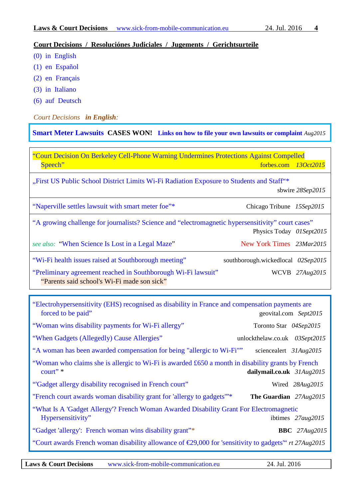## <span id="page-3-0"></span>**Court Decisions / Resoluciónes Judiciales / Jugements / Gerichtsurteile**

- [\(0\) in English](#page-3-1)
- [\(1\) en Español](#page-4-0)
- [\(2\) en Français](#page-5-0)
- [\(3\) in Italiano](#page-5-0)
- (6) auf Deutsch

#### <span id="page-3-1"></span>*Court Decisions in English:*

**[Smart Meter Lawsuits](http://stopsmartmeters.org/smart-meter-lawsuits/) CASES WON! [Links on how to file your own lawsuits or complaint](http://www.electrosmogprevention.org/take-action-against-smart-meters-ca/file-a-discrimination-complaint-with-us-doj/)** *Aug2015*

["Court Decision On Berkeley Cell-Phone Warning Undermines Protections Against Compelled](http://www.forbes.com/sites/wlf/2015/10/13/court-decision-on-berkeley-cell-phone-warning-undermines-protections-against-compelled-speech/)  [Speech"](http://www.forbes.com/sites/wlf/2015/10/13/court-decision-on-berkeley-cell-phone-warning-undermines-protections-against-compelled-speech/) forbes.com 13Oct2015

["First US Public School District Limits Wi-Fi Radiation Exposure to Students and Staff"\\*](http://www.sbwire.com/press-releases/first-us-public-school-district-limits-wi-fi-radiation-exposure-to-students-and-staff-628735.htm)

sbwire *28Sep2015*

|  |  | "Naperville settles lawsuit with smart meter foe"* |  |
|--|--|----------------------------------------------------|--|
|--|--|----------------------------------------------------|--|

Chicago Tribune 15Sep2015

| "A growing challenge for journalists? Science and "electromagnetic hypersensitivity" court cases" |                                    |
|---------------------------------------------------------------------------------------------------|------------------------------------|
|                                                                                                   | Physics Today 01Sept2015           |
| see also: "When Science Is Lost in a Legal Maze"                                                  | New York Times 23Mar2015           |
| "Wi-Fi health issues raised at Southborough meeting"                                              | southborough.wickedlocal 02Sep2015 |
| "Preliminary agreement reached in Southborough Wi-Fi lawsuit"                                     | WCVB 27Aug2015                     |

| "Parents said school's Wi-Fi made son sick" |  |  |
|---------------------------------------------|--|--|
|---------------------------------------------|--|--|

| "Electrohypersensitivity (EHS) recognised as disability in France and compensation payments are<br>forced to be paid" | geovital.com Sept2015         |
|-----------------------------------------------------------------------------------------------------------------------|-------------------------------|
| "Woman wins disability payments for Wi-Fi allergy"                                                                    | Toronto Star 04Sep2015        |
| "When Gadgets (Allegedly) Cause Allergies"                                                                            | unlockthelaw.co.uk 03Sept2015 |
| "A woman has been awarded compensation for being "allergic to Wi-Fi""                                                 | sciencealert 31Aug2015        |
| "Woman who claims she is allergic to Wi-Fi is awarded £650 a month in disability grants by French<br>court"           | dailymail.co.uk $31Aug2015$   |
| "Gadget allergy disability recognised in French court"                                                                | Wired 28Aug2015               |
| "French court awards woman disability grant for 'allergy to gadgets" <sup>**</sup>                                    | The Guardian $27Aug2015$      |
| "What Is A 'Gadget Allergy'? French Woman Awarded Disability Grant For Electromagnetic<br>Hypersensitivity"           | ibtimes $27aug2015$           |
| "Gadget 'allergy': French woman wins disability grant"*                                                               | <b>BBC</b> 27Aug2015          |
| "Court awards French woman disability allowance of $\epsilon$ 29,000 for 'sensitivity to gadgets" <i>rt</i> 27Aug2015 |                               |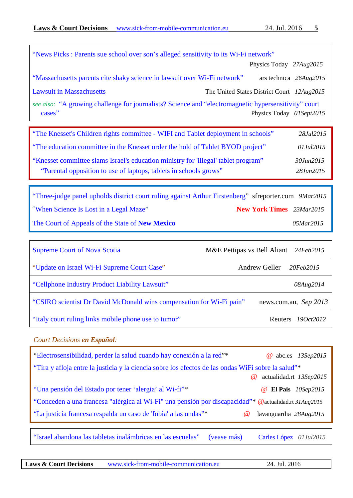| "News Picks: Parents sue school over son's alleged sensitivity to its Wi-Fi network"                           |                                            |
|----------------------------------------------------------------------------------------------------------------|--------------------------------------------|
|                                                                                                                | Physics Today 27Aug2015                    |
| "Massachusetts parents cite shaky science in lawsuit over Wi-Fi network"                                       | ars technica 26Aug2015                     |
| <b>Lawsuit in Massachusetts</b>                                                                                | The United States District Court 12Aug2015 |
| see also: "A growing challenge for journalists? Science and "electromagnetic hypersensitivity" court<br>cases" | Physics Today 01Sept2015                   |
|                                                                                                                |                                            |

| "The Knesset's Children rights committee - WIFI and Tablet deployment in schools"                                                                       | 28Jul2015                        |
|---------------------------------------------------------------------------------------------------------------------------------------------------------|----------------------------------|
| "The education committee in the Knesset order the hold of Tablet BYOD project"                                                                          | 01Jul2015                        |
| "Knesset committee slams Israel's education ministry for 'illegal' tablet program"<br>"Parental opposition to use of laptops, tablets in schools grows" | 30. <i>Iun</i> 2015<br>28Jun2015 |

["Three-judge panel upholds district court ruling against Arthur Firstenberg"](http://www.sfreporter.com/santafe/article-10046-appeals-court-gives-anti-wi-fi-activist-win-loss-in-ruling.html) sfreporter.com *9Mar2015* "[When Science Is Lost in a Legal Maze"](http://www.nytimes.com/2015/03/24/science/when-science-is-lost-in-a-legal-maze.html?_r=0) **New York Times** *23Mar2015* The Court of Appeals of the State of **New Mexico** *05Mar2015*

| <b>Supreme Court of Nova Scotia</b>                                  | M&E Pettipas vs Bell Aliant 24Feb2015 |
|----------------------------------------------------------------------|---------------------------------------|
| "Update on Israel Wi-Fi Supreme Court Case"                          | Andrew Geller<br>20Feb2015            |
| "Cellphone Industry Product Liability Lawsuit"                       | 08Aug2014                             |
| "CSIRO scientist Dr David McDonald wins compensation for Wi-Fi pain" | news.com.au, Sep 2013                 |
| "Italy court ruling links mobile phone use to tumor"                 | Reuters $190ct2012$                   |

#### <span id="page-4-0"></span>*Court Decisions en Español:*

| "Electrosensibilidad, perder la salud cuando hay conexión a la red"*                                 | @ abc.es 13Sep2015                    |  |
|------------------------------------------------------------------------------------------------------|---------------------------------------|--|
| "Tira y afloja entre la justicia y la ciencia sobre los efectos de las ondas WiFi sobre la salud"*   |                                       |  |
|                                                                                                      | @ actualidad.rt 13Sep2015             |  |
| "Una pensión del Estado por tener 'alergia' al Wi-fi"*                                               | <b>@</b> El Pais 10Sep2015            |  |
| "Conceden a una francesa "alérgica al Wi-Fi" una pensión por discapacidad"* @actualidad.rt 31Aug2015 |                                       |  |
| "La justicia francesa respalda un caso de 'fobia' a las ondas"*                                      | lavanguardia $28Au/g2015$<br>$\omega$ |  |
|                                                                                                      |                                       |  |

["Israel abandona las tabletas inalámbricas en las escuelas"](https://radiaciones.wordpress.com/2015/07/01/israel-abandona-las-tabletas-inalambricas-en-las-escuelas/) (vease más) Carles López *01Jul2015*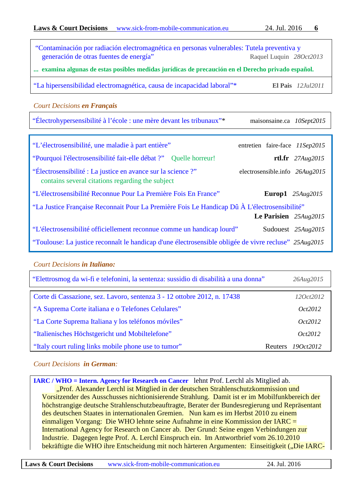<span id="page-5-0"></span>

| "Contaminación por radiación electromagnética en personas vulnerables: Tutela preventiva y<br>generación de otras fuentes de energía"<br>Raquel Luquin 28Oct2013 |                                |  |
|------------------------------------------------------------------------------------------------------------------------------------------------------------------|--------------------------------|--|
| examina algunas de estas posibles medidas jurídicas de precaución en el Derecho privado español.                                                                 |                                |  |
| "La hipersensibilidad electromagnética, causa de incapacidad laboral"*                                                                                           | El Pais $12$ <i>Jul</i> 2011   |  |
| <b>Court Decisions en Français</b>                                                                                                                               |                                |  |
| "Électrohypersensibilité à l'école : une mère devant les tribunaux"*                                                                                             | maisonsaine.ca 10Sept2015      |  |
|                                                                                                                                                                  |                                |  |
| "L'électrosensibilité, une maladie à part entière"                                                                                                               | entretien faire-face 11Sep2015 |  |
| "Pourquoi l'électrosensibilité fait-elle débat ?" Quelle horreur!                                                                                                | rtl.fr $27Aug2015$             |  |
| "Électrosensibilité : La justice en avance sur la science ?"<br>contains several citations regarding the subject                                                 | electrosensible.info 26Aug2015 |  |
| "L'électrosensibilité Reconnue Pour La Première Fois En France"                                                                                                  | Europ1 $25Aug2015$             |  |
| "La Justice Française Reconnait Pour La Première Fois Le Handicap Dû À L'électrosensibilité"                                                                     |                                |  |
|                                                                                                                                                                  | Le Parisien $25Aug2015$        |  |
| "L'électrosensibilité officiellement reconnue comme un handicap lourd"                                                                                           | Sudouest 25Aug2015             |  |
| "Toulouse: La justice reconnaît le handicap d'une électrosensible obligée de vivre recluse" 25Aug2015                                                            |                                |  |

## *Court Decisions in Italiano:*

| "Elettrosmog da wi-fi e telefonini, la sentenza: sussidio di disabilità a una donna" | 26Aug2015                   |
|--------------------------------------------------------------------------------------|-----------------------------|
| Corte di Cassazione, sez. Lavoro, sentenza 3 - 12 ottobre 2012, n. 17438             | 12 <i>Oct</i> 2012          |
| "A Suprema Corte italiana e o Telefones Celulares"                                   | <i>Oct</i> 2012             |
| "La Corte Suprema Italiana y los teléfonos móviles"                                  | <i>Oct2012</i>              |
| "Italienisches Höchstgericht und Mobiltelefone"                                      | Oct2012                     |
| "Italy court ruling links mobile phone use to tumor"                                 | 190ct2012<br><b>Reuters</b> |

## *Court Decisions in German:*

**[IARC / WHO = Intern. Agency for Research on Cancer](http://www.diagnose-funk.org/ueber-diagnose-funk/brennpunkt/who-lehnt-prof-a-lerchl-als-mitarbeiter-ab.php)** lehnt Prof. Lerchl als Mitglied ab. "Prof. Alexander Lerchl ist Mitglied in der deutschen Strahlenschutzkommission und Vorsitzender des Ausschusses nichtionisierende Strahlung. Damit ist er im Mobilfunkbereich der höchstrangige deutsche Strahlenschutzbeauftragte, Berater der Bundesregierung und Repräsentant des deutschen Staates in internationalen Gremien. Nun kam es im Herbst 2010 zu einem einmaligen Vorgang: Die WHO lehnte seine Aufnahme in eine Kommission der IARC = International Agency for Research on Cancer ab. Der Grund: Seine engen Verbindungen zur Industrie. Dagegen legte Prof. A. Lerchl Einspruch ein. Im Antwortbrief vom 26.10.2010 bekräftigte die WHO ihre Entscheidung mit noch härteren Argumenten: Einseitigkeit ("Die IARC-

**Laws & Court Decisions** [www.sick-from-mobile-communication.eu](http://www.sick-from-mobile-communication.eu/) 24. Jul. 2016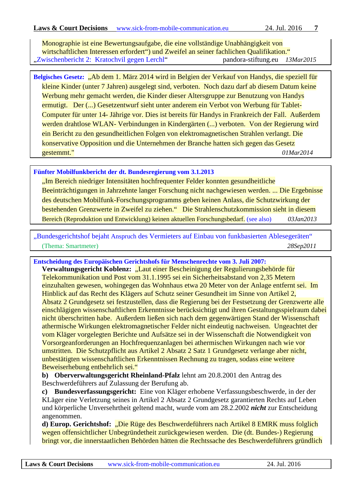Monographie ist eine Bewertungsaufgabe, die eine vollständige Unabhängigkeit von wirtschaftlichen Interessen erfordert") und Zweifel an seiner fachlichen Qualifikation." ["Zwischenbericht 2: Kratochvil gegen Lerchl"](http://www.pandora-stiftung.eu/archiv/2015/zwischenbericht-2-kratochvil-gegen-lerchl.html)pandora-stiftung.eu *13Mar2015*

**[Belgisches Gesetz:](http://health.belgium.be/eportal/19089508_DE?fodnlang=de#.U0Pnkfl5Mfs)** "Ab dem 1. März 2014 wird in Belgien der Verkauf von Handys, die speziell für kleine Kinder (unter 7 Jahren) ausgelegt sind, verboten. Noch dazu darf ab diesem Datum keine Werbung mehr gemacht werden, die Kinder dieser Altersgruppe zur Benutzung von Handys ermutigt. Der (...) Gesetzentwurf sieht unter anderem ein Verbot von Werbung für Tablet-Computer für unter 14- Jährige vor. Dies ist bereits für Handys in Frankreich der Fall. Außerdem werden drahtlose WLAN- Verbindungen in Kindergärten (...) verboten. Von der Regierung wird ein Bericht zu den gesundheitlichen Folgen von elektromagnetischen Strahlen verlangt. Die konservative Opposition und die Unternehmen der Branche hatten sich gegen das Gesetz gestemmt." *01Mar2014*

#### **[Fünfter Mobilfunkbericht der dt. Bundesregierung vom 3.1.2013](http://dipbt.bundestag.de/dip21/btd/17/120/1712027.pdf)**

"Im Bereich niedriger Intensitäten hochfrequenter Felder konnten gesundheitliche Beeinträchtigungen in Jahrzehnte langer Forschung nicht nachgewiesen werden. ... Die Ergebnisse des deutschen Mobilfunk-Forschungsprogramms geben keinen Anlass, die Schutzwirkung der bestehenden Grenzwerte in Zweifel zu ziehen." Die Strahlenschutzkommission sieht in diesem Bereich (Reproduktion und Entwicklung) keinen aktuellen Forschungsbedarf. [\(see also\)](http://www.diagnose-funk.org/assets/df_bp_bericht-br_2013-02-24.pdf) *03Jan2013*

"Bundesgerichtshof bejaht Anspruch [des Vermieters auf Einbau von funkbasierten Ablesegeräten"](http://juris.bundesgerichtshof.de/cgi-bin/rechtsprechung/document.py?Gericht=bgh&Art=pm&Datum=2011&Sort=3&nr=57729&pos=1&anz=150) (Thema: Smartmeter) *28Sep2011* 

**[Entscheidung des Europäischen Gerichtshofs für Menschenrechte vom 3. Juli 2007:](http://www.der-mast-muss-weg.de/pdf/Schoepfer/Schoepfer_Spaete%20Lehren%20aus%20fruehen%20Warnungen.pdf)**

Verwaltungsgericht Koblenz: "Laut einer Bescheinigung der Regulierungsbehörde für Telekommunikation und Post vom 31.1.1995 sei ein Sicherheitsabstand von 2,35 Metern einzuhalten gewesen, wohingegen das Wohnhaus etwa 20 Meter von der Anlage entfernt sei. Im Hinblick auf das Recht des Klägers auf Schutz seiner Gesundheit im Sinne von Artikel 2, Absatz 2 Grundgesetz sei festzustellen, dass die Regierung bei der Festsetzung der Grenzwerte alle einschlägigen wissenschaftlichen Erkenntnisse berücksichtigt und ihren Gestaltungsspielraum dabei nicht überschritten habe. Außerdem ließen sich nach dem gegenwärtigen Stand der Wissenschaft athermische Wirkungen elektromagnetischer Felder nicht eindeutig nachweisen. Ungeachtet der vom Kläger vorgelegten Berichte und Aufsätze sei in der Wissenschaft die Notwendigkeit von Vorsorgeanforderungen an Hochfrequenzanlagen bei athermischen Wirkungen nach wie vor umstritten. Die Schutzpflicht aus Artikel 2 Absatz 2 Satz 1 Grundgesetz verlange aber nicht, unbestätigten wissenschaftlichen Erkenntnissen Rechnung zu tragen, sodass eine weitere Beweiserhebung entbehrlich sei."

**b) Oberverwaltungsgericht Rheinland-Pfalz** lehnt am 20.8.2001 den Antrag des Beschwerdeführers auf Zulassung der Berufung ab.

**c) Bundesverfassungsgericht:** Eine von Kläger erhobene Verfassungsbeschwerde, in der der KLäger eine Verletzung seines in Artikel 2 Absatz 2 Grundgesetz garantierten Rechts auf Leben und körperliche Unversehrtheit geltend macht, wurde vom am 28.2.2002 *nicht* zur Entscheidung angenommen.

**d) Europ. Gerichtshof:** "Die Rüge des Beschwerdeführers nach Artikel 8 EMRK muss folglich wegen offensichtlicher Unbegründetheit zurückgewiesen werden. Die (dt. Bundes-) Regierung bringt vor, die innerstaatlichen Behörden hätten die Rechtssache des Beschwerdeführers gründlich